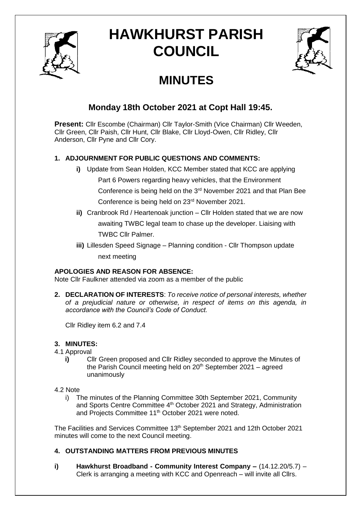

# **HAWKHURST PARISH COUNCIL**



## **MINUTES**

### **Monday 18th October 2021 at Copt Hall 19:45.**

**Present:** Cllr Escombe (Chairman) Cllr Taylor-Smith (Vice Chairman) Cllr Weeden, Cllr Green, Cllr Paish, Cllr Hunt, Cllr Blake, Cllr Lloyd-Owen, Cllr Ridley, Cllr Anderson, Cllr Pyne and Cllr Cory.

#### **1. ADJOURNMENT FOR PUBLIC QUESTIONS AND COMMENTS:**

- **i)** Update from Sean Holden, KCC Member stated that KCC are applying Part 6 Powers regarding heavy vehicles, that the Environment Conference is being held on the 3rd November 2021 and that Plan Bee Conference is being held on 23rd November 2021.
- **ii)** Cranbrook Rd / Heartenoak junction Cllr Holden stated that we are now awaiting TWBC legal team to chase up the developer. Liaising with TWBC Cllr Palmer.
- **iii)** Lillesden Speed Signage Planning condition Cllr Thompson update next meeting

#### **APOLOGIES AND REASON FOR ABSENCE:**

Note Cllr Faulkner attended via zoom as a member of the public

**2. DECLARATION OF INTERESTS**: *To receive notice of personal interests, whether of a prejudicial nature or otherwise, in respect of items on this agenda, in accordance with the Council's Code of Conduct.*

Cllr Ridley item 6.2 and 7.4

#### **3. MINUTES:**

- 4.1 Approval
	- **i)** Cllr Green proposed and Cllr Ridley seconded to approve the Minutes of the Parish Council meeting held on  $20<sup>th</sup>$  September 2021 – agreed unanimously
- 4.2 Note
	- i) The minutes of the Planning Committee 30th September 2021, Community and Sports Centre Committee 4<sup>th</sup> October 2021 and Strategy, Administration and Projects Committee 11<sup>th</sup> October 2021 were noted.

The Facilities and Services Committee 13th September 2021 and 12th October 2021 minutes will come to the next Council meeting.

#### **4. OUTSTANDING MATTERS FROM PREVIOUS MINUTES**

**i) Hawkhurst Broadband - Community Interest Company –** (14.12.20/5.7) – Clerk is arranging a meeting with KCC and Openreach – will invite all Cllrs.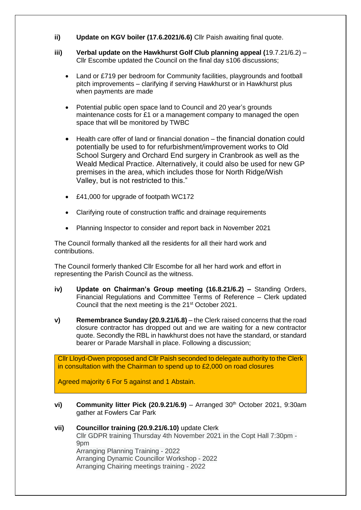- **ii) Update on KGV boiler (17.6.2021/6.6)** Cllr Paish awaiting final quote.
- **iii) Verbal update on the Hawkhurst Golf Club planning appeal (**19.7.21/6.2) Cllr Escombe updated the Council on the final day s106 discussions;
	- Land or £719 per bedroom for Community facilities, playgrounds and football pitch improvements – clarifying if serving Hawkhurst or in Hawkhurst plus when payments are made
	- Potential public open space land to Council and 20 year's grounds maintenance costs for £1 or a management company to managed the open space that will be monitored by TWBC
	- Health care offer of land or financial donation the financial donation could potentially be used to for refurbishment/improvement works to Old School Surgery and Orchard End surgery in Cranbrook as well as the Weald Medical Practice. Alternatively, it could also be used for new GP premises in the area, which includes those for North Ridge/Wish Valley, but is not restricted to this."
	- £41,000 for upgrade of footpath WC172
	- Clarifying route of construction traffic and drainage requirements
	- Planning Inspector to consider and report back in November 2021

The Council formally thanked all the residents for all their hard work and contributions.

The Council formerly thanked Cllr Escombe for all her hard work and effort in representing the Parish Council as the witness.

- **iv) Update on Chairman's Group meeting (16.8.21/6.2) –** Standing Orders, Financial Regulations and Committee Terms of Reference – Clerk updated Council that the next meeting is the 21st October 2021.
- **v) Remembrance Sunday (20.9.21/6.8)** the Clerk raised concerns that the road closure contractor has dropped out and we are waiting for a new contractor quote. Secondly the RBL in hawkhurst does not have the standard, or standard bearer or Parade Marshall in place. Following a discussion;

Cllr Lloyd-Owen proposed and Cllr Paish seconded to delegate authority to the Clerk in consultation with the Chairman to spend up to £2,000 on road closures

Agreed majority 6 For 5 against and 1 Abstain.

- **vi) Community litter Pick (20.9.21/6.9)** Arranged 30<sup>th</sup> October 2021, 9:30am gather at Fowlers Car Park
- **vii) Councillor training (20.9.21/6.10)** update Clerk Cllr GDPR training Thursday 4th November 2021 in the Copt Hall 7:30pm - 9pm Arranging Planning Training - 2022 Arranging Dynamic Councillor Workshop - 2022 Arranging Chairing meetings training - 2022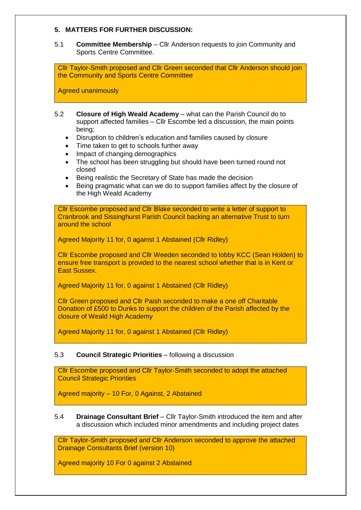#### **5. MATTERS FOR FURTHER DISCUSSION:**

#### 5.1 **Committee Membership** – Cllr Anderson requests to join Community and Sports Centre Committee.

Cllr Taylor-Smith proposed and Cllr Green seconded that Cllr Anderson should join the Community and Sports Centre Committee

Agreed unanimously

- 5.2 **Closure of High Weald Academy** what can the Parish Council do to support affected families – Cllr Escombe led a discussion, the main points being;
	- Disruption to children's education and families caused by closure
	- Time taken to get to schools further away
	- Impact of changing demographics
	- The school has been struggling but should have been turned round not closed
	- Being realistic the Secretary of State has made the decision
	- Being pragmatic what can we do to support families affect by the closure of the High Weald Academy

Cllr Escombe proposed and Cllr Blake seconded to write a letter of support to Cranbrook and Sissinghurst Parish Council backing an alternative Trust to turn around the school

Agreed Majority 11 for, 0 against 1 Abstained (Cllr Ridley)

Cllr Escombe proposed and Cllr Weeden seconded to lobby KCC (Sean Holden) to ensure free transport is provided to the nearest school whether that is in Kent or East Sussex.

Agreed Majority 11 for, 0 against 1 Abstained (Cllr Ridley)

Cllr Green proposed and Cllr Paish seconded to make a one off Charitable Donation of £500 to Dunks to support the children of the Parish affected by the closure of Weald High Academy

Agreed Majority 11 for, 0 against 1 Abstained (Cllr Ridley)

#### 5.3 **Council Strategic Priorities** – following a discussion

Cllr Escombe proposed and Cllr Taylor-Smith seconded to adopt the attached Council Strategic Priorities

Agreed majority – 10 For, 0 Against, 2 Abstained

5.4 **Drainage Consultant Brief** – Cllr Taylor-Smith introduced the item and after a discussion which included minor amendments and including project dates

Cllr Taylor-Smith proposed and Cllr Anderson seconded to approve the attached Drainage Consultants Brief (version 10)

Agreed majority 10 For 0 against 2 Abstained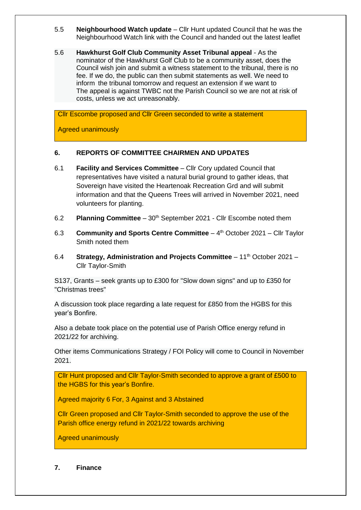- 5.5 **Neighbourhood Watch update** Cllr Hunt updated Council that he was the Neighbourhood Watch link with the Council and handed out the latest leaflet
- 5.6 **Hawkhurst Golf Club Community Asset Tribunal appeal** As the nominator of the Hawkhurst Golf Club to be a community asset, does the Council wish join and submit a witness statement to the tribunal, there is no fee. If we do, the public can then submit statements as well. We need to inform the tribunal tomorrow and request an extension if we want to The appeal is against TWBC not the Parish Council so we are not at risk of costs, unless we act unreasonably.

Cllr Escombe proposed and Cllr Green seconded to write a statement

Agreed unanimously

#### **6. REPORTS OF COMMITTEE CHAIRMEN AND UPDATES**

- 6.1 **Facility and Services Committee** Cllr Cory updated Council that representatives have visited a natural burial ground to gather ideas, that Sovereign have visited the Heartenoak Recreation Grd and will submit information and that the Queens Trees will arrived in November 2021, need volunteers for planting.
- 6.2 **Planning Committee** 30<sup>th</sup> September 2021 Cllr Escombe noted them
- 6.3 **Community and Sports Centre Committee** 4 th October 2021 Cllr Taylor Smith noted them
- 6.4 **Strategy, Administration and Projects Committee** 11<sup>th</sup> October 2021 Cllr Taylor-Smith

S137, Grants – seek grants up to £300 for "Slow down signs" and up to £350 for "Christmas trees"

A discussion took place regarding a late request for £850 from the HGBS for this year's Bonfire.

Also a debate took place on the potential use of Parish Office energy refund in 2021/22 for archiving.

Other items Communications Strategy / FOI Policy will come to Council in November 2021.

Cllr Hunt proposed and Cllr Taylor-Smith seconded to approve a grant of £500 to the HGBS for this year's Bonfire.

Agreed majority 6 For, 3 Against and 3 Abstained

Cllr Green proposed and Cllr Taylor-Smith seconded to approve the use of the Parish office energy refund in 2021/22 towards archiving

Agreed unanimously

#### **7. Finance**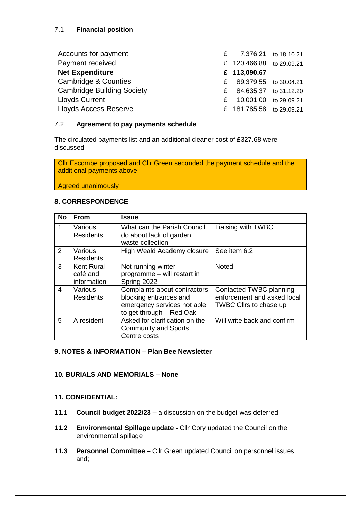#### 7.1 **Financial position**

| Accounts for payment              |   | £ 7,376.21 to 18.10.21   |  |
|-----------------------------------|---|--------------------------|--|
| Payment received                  |   | £ 120,466.88 to 29.09.21 |  |
| <b>Net Expenditure</b>            |   | £ 113,090.67             |  |
| Cambridge & Counties              |   | £ 89,379.55 to 30.04.21  |  |
| <b>Cambridge Building Society</b> |   | £ 84,635.37 to 31.12.20  |  |
| <b>Lloyds Current</b>             | £ | 10,001.00 to 29.09.21    |  |
| <b>Lloyds Access Reserve</b>      |   | £ 181,785.58 to 29.09.21 |  |

#### 7.2 **Agreement to pay payments schedule**

The circulated payments list and an additional cleaner cost of £327.68 were discussed;

Cllr Escombe proposed and Cllr Green seconded the payment schedule and the additional payments above

Agreed unanimously

#### **8. CORRESPONDENCE**

| <b>No</b> | <b>From</b>                                  | <b>Issue</b>                                                                                                      |                                                                                  |
|-----------|----------------------------------------------|-------------------------------------------------------------------------------------------------------------------|----------------------------------------------------------------------------------|
| 1         | Various<br><b>Residents</b>                  | What can the Parish Council<br>do about lack of garden<br>waste collection                                        | Liaising with TWBC                                                               |
| 2         | Various<br><b>Residents</b>                  | High Weald Academy closure                                                                                        | See item 6.2                                                                     |
| 3         | <b>Kent Rural</b><br>café and<br>information | Not running winter<br>programme - will restart in<br>Spring 2022                                                  | <b>Noted</b>                                                                     |
| 4         | Various<br><b>Residents</b>                  | Complaints about contractors<br>blocking entrances and<br>emergency services not able<br>to get through - Red Oak | Contacted TWBC planning<br>enforcement and asked local<br>TWBC Cllrs to chase up |
| 5         | A resident                                   | Asked for clarification on the<br><b>Community and Sports</b><br>Centre costs                                     | Will write back and confirm                                                      |

#### **9. NOTES & INFORMATION – Plan Bee Newsletter**

#### **10. BURIALS AND MEMORIALS – None**

#### **11. CONFIDENTIAL:**

- **11.1 Council budget 2022/23 –** a discussion on the budget was deferred
- **11.2 Environmental Spillage update -** Cllr Cory updated the Council on the environmental spillage
- **11.3 Personnel Committee –** Cllr Green updated Council on personnel issues and;